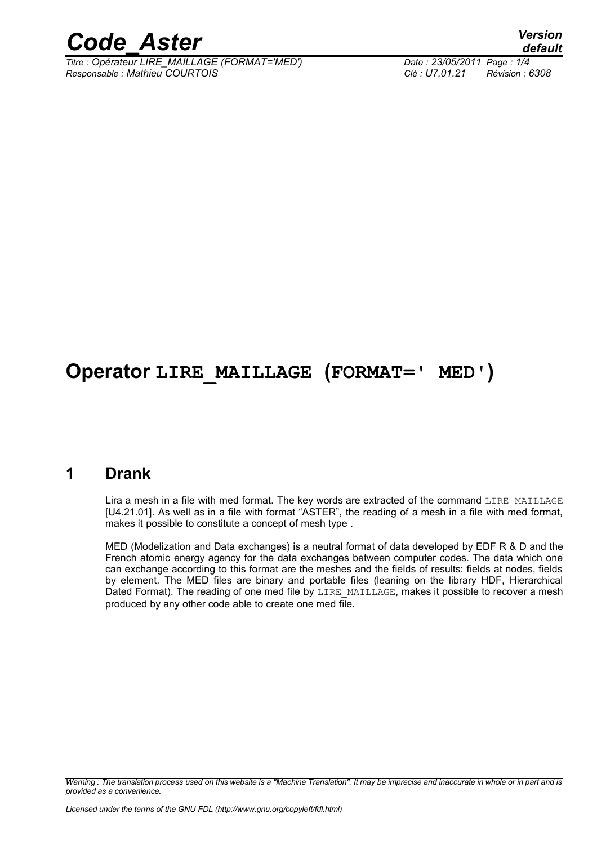

*Titre : Opérateur LIRE\_MAILLAGE (FORMAT='MED') Date : 23/05/2011 Page : 1/4 Responsable : Mathieu COURTOIS Clé : U7.01.21 Révision : 6308*

*default*

## **Operator LIRE\_MAILLAGE (FORMAT=' MED')**

## **1 Drank**

Lira a mesh in a file with med format. The key words are extracted of the command LIRE\_MAILLAGE [U4.21.01]. As well as in a file with format "ASTER", the reading of a mesh in a file with med format, makes it possible to constitute a concept of mesh type .

MED (Modelization and Data exchanges) is a neutral format of data developed by EDF R & D and the French atomic energy agency for the data exchanges between computer codes. The data which one can exchange according to this format are the meshes and the fields of results: fields at nodes, fields by element. The MED files are binary and portable files (leaning on the library HDF, Hierarchical Dated Format). The reading of one med file by LIRE\_MAILLAGE, makes it possible to recover a mesh produced by any other code able to create one med file.

*Warning : The translation process used on this website is a "Machine Translation". It may be imprecise and inaccurate in whole or in part and is provided as a convenience.*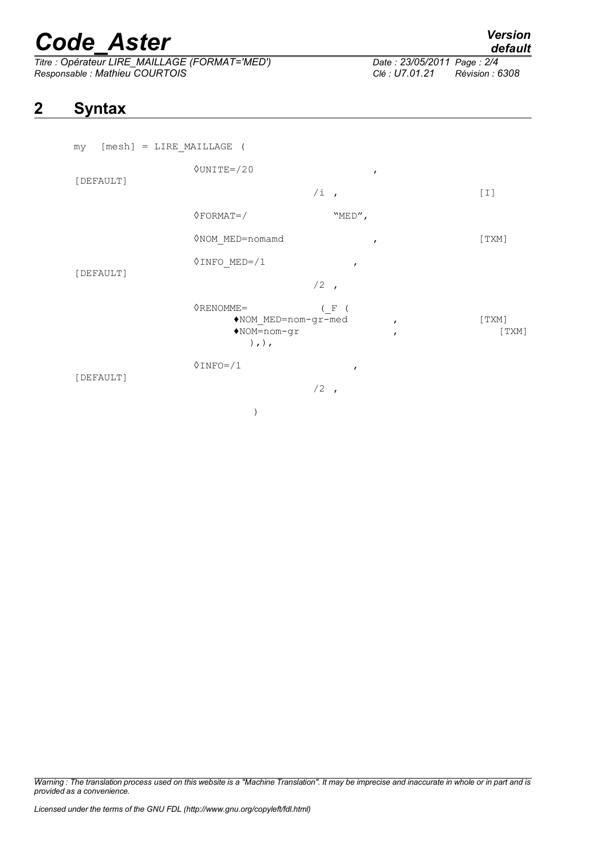# *Code\_Aster Version*

*Titre : Opérateur LIRE\_MAILLAGE (FORMAT='MED') Date : 23/05/20121 Page : 23/05/20121 Page : 23/05/20121 Responsable : Mathieu COURTOIS Clé : U7.01.21 Révision : 6308*

## *default*

## **2 Syntax**

| [mesh] = LIRE MAILLAGE (<br>my |                                                                     |                                       |                |
|--------------------------------|---------------------------------------------------------------------|---------------------------------------|----------------|
| [DEFAULT]                      | $\Diamond$ UNITE=/20                                                | $\mathbf{r}$                          |                |
|                                |                                                                     | $/i$ ,                                | $[1]$          |
| [DEFAULT]                      | $\Diamond$ FORMAT=/                                                 | "MED",                                |                |
|                                | ◇NOM MED=nomamd                                                     | $\mathbf{r}$                          | [TXM]          |
|                                | $\Diamond$ INFO MED=/1                                              | $\mathbf{r}$                          |                |
|                                |                                                                     | $/2$ ,                                |                |
|                                | $ØRENOWLED =$<br>NOM MED=nom-gr-med<br>$NOM=nom-gr$<br>$),$ , $)$ , | ( F (<br>$\mathbf{r}$<br>$\mathbf{r}$ | [TXM]<br>[TXM] |
| [DEFAULT]                      | $0$ INFO= $/1$                                                      | $\pmb{r}$                             |                |
|                                |                                                                     | $/2$ ,                                |                |
|                                |                                                                     |                                       |                |

*Warning : The translation process used on this website is a "Machine Translation". It may be imprecise and inaccurate in whole or in part and is provided as a convenience.*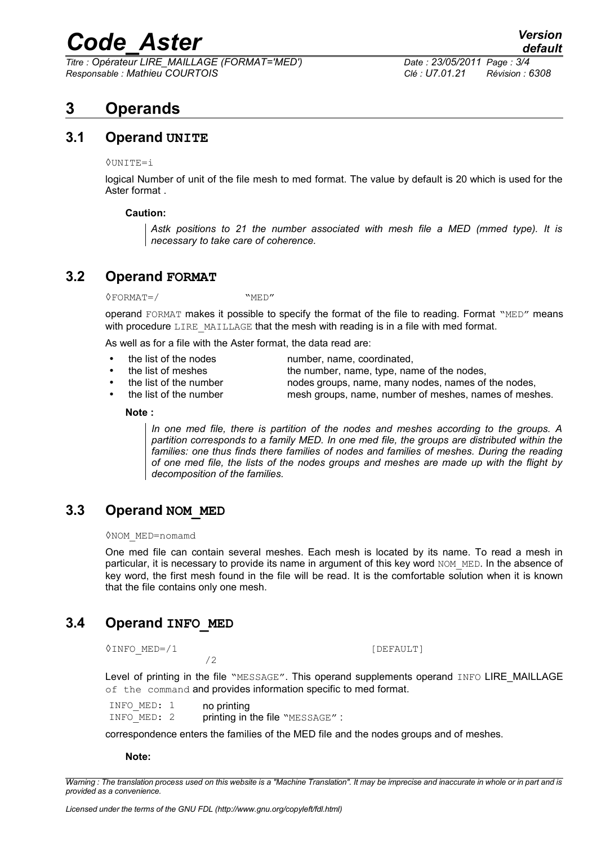## *Code\_Aster Version*

*Titre : Opérateur LIRE\_MAILLAGE (FORMAT='MED') Date : 23/05/2011 Page : 3/4 Responsable : Mathieu COURTOIS Clé : U7.01.21 Révision : 6308*

## **3 Operands**

### **3.1 Operand UNITE**

#### $Q$ UNITE=i

logical Number of unit of the file mesh to med format. The value by default is 20 which is used for the Aster format .

#### **Caution:**

*Astk positions to 21 the number associated with mesh file a MED (mmed type). It is necessary to take care of coherence.*

## **3.2 Operand FORMAT**

 $\Diamond$ FORMAT=/ "MED"

operand FORMAT makes it possible to specify the format of the file to reading. Format "MED" means with procedure  $LIRE$  MAILLAGE that the mesh with reading is in a file with med format.

As well as for a file with the Aster format, the data read are:

• the list of the nodes number, name, coordinated,

the list of meshes the number, name, type, name of the nodes,

- the list of the number nodes groups, name, many nodes, names of the nodes,
	- the list of the number mesh groups, name, number of meshes, names of meshes.

#### **Note :**

*In one med file, there is partition of the nodes and meshes according to the groups. A partition corresponds to a family MED. In one med file, the groups are distributed within the families: one thus finds there families of nodes and families of meshes. During the reading of one med file, the lists of the nodes groups and meshes are made up with the flight by decomposition of the families.*

## **3.3 Operand NOM\_MED**

#### ◊NOM\_MED=nomamd

One med file can contain several meshes. Each mesh is located by its name. To read a mesh in particular, it is necessary to provide its name in argument of this key word NOM\_MED. In the absence of key word, the first mesh found in the file will be read. It is the comfortable solution when it is known that the file contains only one mesh.

## **3.4 Operand INFO\_MED**

◊INFO\_MED=/1 [DEFAULT]

Level of printing in the file "MESSAGE". This operand supplements operand INFO LIRE\_MAILLAGE of the command and provides information specific to med format.

| INFO MED: 1 |  | no printing                     |  |
|-------------|--|---------------------------------|--|
| INFO MED: 2 |  | printing in the file "MESSAGE": |  |

/2

correspondence enters the families of the MED file and the nodes groups and of meshes.

#### **Note:**

*Warning : The translation process used on this website is a "Machine Translation". It may be imprecise and inaccurate in whole or in part and is provided as a convenience.*